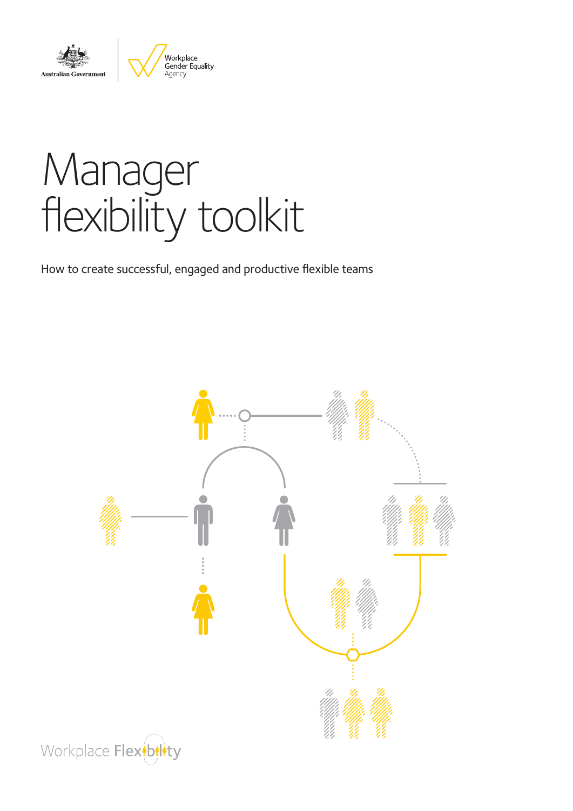



# Manager flexibility toolkit

How to create successful, engaged and productive flexible teams



Workplace Flextbilty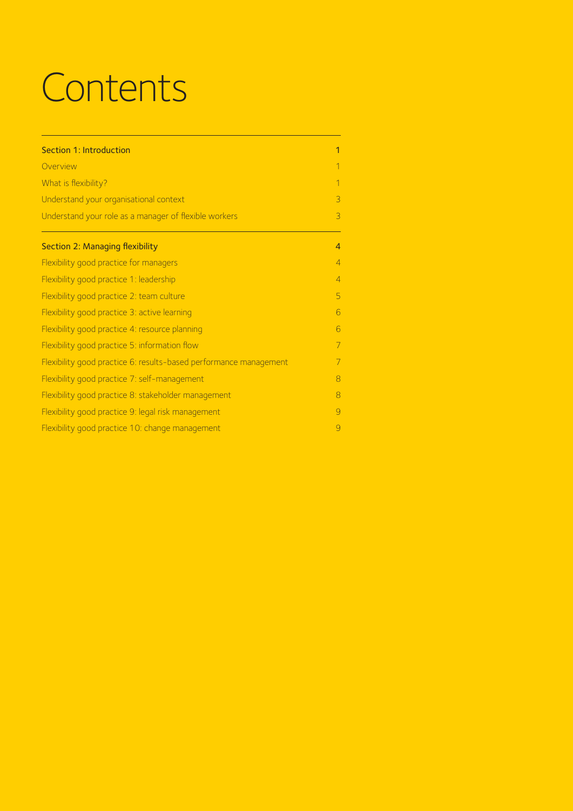# **Contents**

| Section 1: Introduction                                           | 1              |
|-------------------------------------------------------------------|----------------|
| Overview                                                          | $\overline{1}$ |
| What is flexibility?                                              | $\overline{1}$ |
| Understand your organisational context                            | 3              |
| Understand your role as a manager of flexible workers             | 3              |
| <b>Section 2: Managing flexibility</b>                            | $\overline{4}$ |
| Flexibility good practice for managers                            | $\overline{4}$ |
| Flexibility good practice 1: leadership                           | $\overline{4}$ |
| Flexibility good practice 2: team culture                         | 5              |
| Flexibility good practice 3: active learning                      | 6              |
| Flexibility good practice 4: resource planning                    | 6              |
| Flexibility good practice 5: information flow                     | 7              |
| Flexibility good practice 6: results-based performance management | 7              |
| Flexibility good practice 7: self-management                      | 8              |
| Flexibility good practice 8: stakeholder management               | 8              |
| Flexibility good practice 9: legal risk management                | $\overline{Q}$ |
| Flexibility good practice 10: change management                   | $\overline{Q}$ |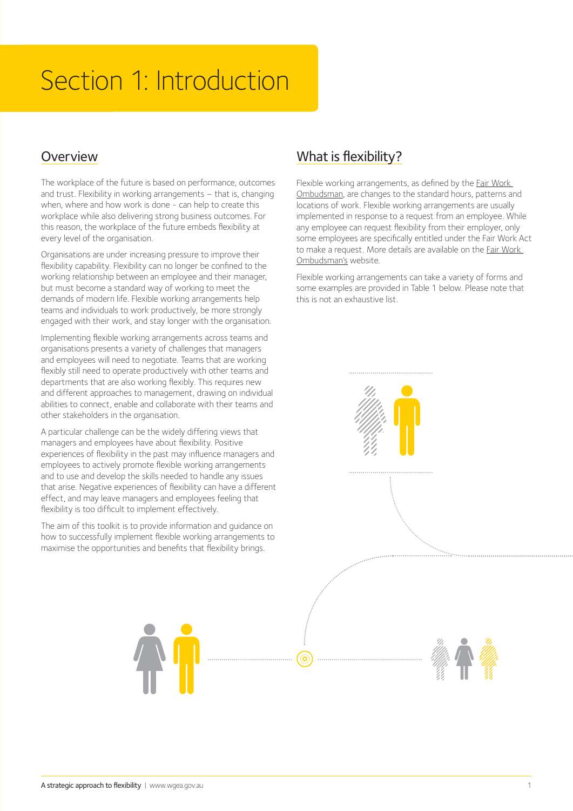# Section 1: Introduction

# Overview

The workplace of the future is based on performance, outcomes and trust. Flexibility in working arrangements – that is, changing when, where and how work is done - can help to create this workplace while also delivering strong business outcomes. For this reason, the workplace of the future embeds flexibility at every level of the organisation.

Organisations are under increasing pressure to improve their flexibility capability. Flexibility can no longer be confined to the working relationship between an employee and their manager, but must become a standard way of working to meet the demands of modern life. Flexible working arrangements help teams and individuals to work productively, be more strongly engaged with their work, and stay longer with the organisation.

Implementing flexible working arrangements across teams and organisations presents a variety of challenges that managers and employees will need to negotiate. Teams that are working flexibly still need to operate productively with other teams and departments that are also working flexibly. This requires new and different approaches to management, drawing on individual abilities to connect, enable and collaborate with their teams and other stakeholders in the organisation.

A particular challenge can be the widely differing views that managers and employees have about flexibility. Positive experiences of flexibility in the past may influence managers and employees to actively promote flexible working arrangements and to use and develop the skills needed to handle any issues that arise. Negative experiences of flexibility can have a different effect, and may leave managers and employees feeling that flexibility is too difficult to implement effectively.

The aim of this toolkit is to provide information and guidance on how to successfully implement flexible working arrangements to maximise the opportunities and benefits that flexibility brings.

# What is flexibility?

Flexible working arrangements, as defined by the Fair Work Ombudsman, are changes to the standard hours, patterns and locations of work. Flexible working arrangements are usually implemented in response to a request from an employee. While any employee can request flexibility from their employer, only some employees are specifically entitled under the Fair Work Act to make a request. More details are available on the Fair Work Ombudsman's website.

Flexible working arrangements can take a variety of forms and some examples are provided in Table 1 below. Please note that this is not an exhaustive list.

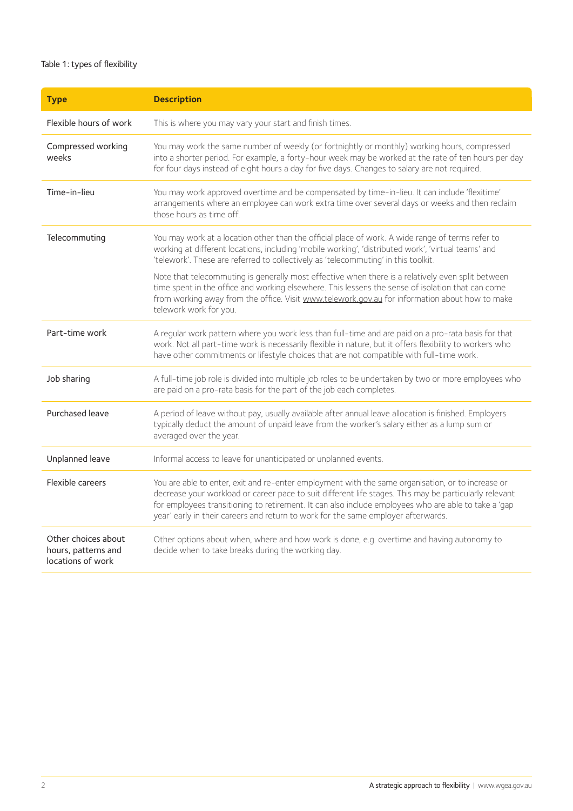#### Table 1: types of flexibility

| <b>Type</b>                                                     | <b>Description</b>                                                                                                                                                                                                                                                                                                                                                                                       |
|-----------------------------------------------------------------|----------------------------------------------------------------------------------------------------------------------------------------------------------------------------------------------------------------------------------------------------------------------------------------------------------------------------------------------------------------------------------------------------------|
| Flexible hours of work                                          | This is where you may vary your start and finish times.                                                                                                                                                                                                                                                                                                                                                  |
| Compressed working<br>weeks                                     | You may work the same number of weekly (or fortnightly or monthly) working hours, compressed<br>into a shorter period. For example, a forty-hour week may be worked at the rate of ten hours per day<br>for four days instead of eight hours a day for five days. Changes to salary are not required.                                                                                                    |
| Time-in-lieu                                                    | You may work approved overtime and be compensated by time-in-lieu. It can include 'flexitime'<br>arrangements where an employee can work extra time over several days or weeks and then reclaim<br>those hours as time off.                                                                                                                                                                              |
| Telecommuting                                                   | You may work at a location other than the official place of work. A wide range of terms refer to<br>working at different locations, including 'mobile working', 'distributed work', 'virtual teams' and<br>'telework'. These are referred to collectively as 'telecommuting' in this toolkit.                                                                                                            |
|                                                                 | Note that telecommuting is generally most effective when there is a relatively even split between<br>time spent in the office and working elsewhere. This lessens the sense of isolation that can come<br>from working away from the office. Visit www.telework.gov.au for information about how to make<br>telework work for you.                                                                       |
| Part-time work                                                  | A regular work pattern where you work less than full-time and are paid on a pro-rata basis for that<br>work. Not all part-time work is necessarily flexible in nature, but it offers flexibility to workers who<br>have other commitments or lifestyle choices that are not compatible with full-time work.                                                                                              |
| Job sharing                                                     | A full-time job role is divided into multiple job roles to be undertaken by two or more employees who<br>are paid on a pro-rata basis for the part of the job each completes.                                                                                                                                                                                                                            |
| Purchased leave                                                 | A period of leave without pay, usually available after annual leave allocation is finished. Employers<br>typically deduct the amount of unpaid leave from the worker's salary either as a lump sum or<br>averaged over the year.                                                                                                                                                                         |
| Unplanned leave                                                 | Informal access to leave for unanticipated or unplanned events.                                                                                                                                                                                                                                                                                                                                          |
| Flexible careers                                                | You are able to enter, exit and re-enter employment with the same organisation, or to increase or<br>decrease your workload or career pace to suit different life stages. This may be particularly relevant<br>for employees transitioning to retirement. It can also include employees who are able to take a 'gap<br>year' early in their careers and return to work for the same employer afterwards. |
| Other choices about<br>hours, patterns and<br>locations of work | Other options about when, where and how work is done, e.g. overtime and having autonomy to<br>decide when to take breaks during the working day.                                                                                                                                                                                                                                                         |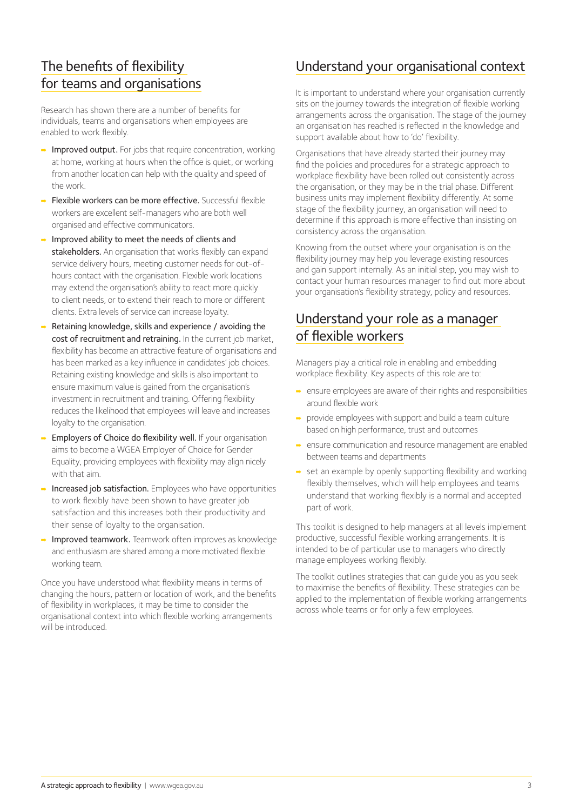# The benefits of flexibility for teams and organisations

Research has shown there are a number of benefits for individuals, teams and organisations when employees are enabled to work flexibly.

- Improved output. For jobs that require concentration, working at home, working at hours when the office is quiet, or working from another location can help with the quality and speed of the work.
- ➡ Flexible workers can be more effective. Successful flexible workers are excellent self-managers who are both well organised and effective communicators.
- ➡ Improved ability to meet the needs of clients and stakeholders. An organisation that works flexibly can expand service delivery hours, meeting customer needs for out-ofhours contact with the organisation. Flexible work locations may extend the organisation's ability to react more quickly to client needs, or to extend their reach to more or different clients. Extra levels of service can increase loyalty.
- Retaining knowledge, skills and experience / avoiding the cost of recruitment and retraining. In the current job market, flexibility has become an attractive feature of organisations and has been marked as a key influence in candidates' job choices. Retaining existing knowledge and skills is also important to ensure maximum value is gained from the organisation's investment in recruitment and training. Offering flexibility reduces the likelihood that employees will leave and increases loyalty to the organisation.
- ➡ Employers of Choice do flexibility well. If your organisation aims to become a WGEA Employer of Choice for Gender Equality, providing employees with flexibility may align nicely with that aim.
- Increased job satisfaction. Employees who have opportunities to work flexibly have been shown to have greater job satisfaction and this increases both their productivity and their sense of loyalty to the organisation.
- Improved teamwork. Teamwork often improves as knowledge and enthusiasm are shared among a more motivated flexible working team.

Once you have understood what flexibility means in terms of changing the hours, pattern or location of work, and the benefits of flexibility in workplaces, it may be time to consider the organisational context into which flexible working arrangements will be introduced.

### Understand your organisational context

It is important to understand where your organisation currently sits on the journey towards the integration of flexible working arrangements across the organisation. The stage of the journey an organisation has reached is reflected in the knowledge and support available about how to 'do' flexibility.

Organisations that have already started their journey may find the policies and procedures for a strategic approach to workplace flexibility have been rolled out consistently across the organisation, or they may be in the trial phase. Different business units may implement flexibility differently. At some stage of the flexibility journey, an organisation will need to determine if this approach is more effective than insisting on consistency across the organisation.

Knowing from the outset where your organisation is on the flexibility journey may help you leverage existing resources and gain support internally. As an initial step, you may wish to contact your human resources manager to find out more about your organisation's flexibility strategy, policy and resources.

# Understand your role as a manager of flexible workers

Managers play a critical role in enabling and embedding workplace flexibility. Key aspects of this role are to:

- ➡ ensure employees are aware of their rights and responsibilities around flexible work
- ➡ provide employees with support and build a team culture based on high performance, trust and outcomes
- ➡ ensure communication and resource management are enabled between teams and departments
- $\rightarrow$  set an example by openly supporting flexibility and working flexibly themselves, which will help employees and teams understand that working flexibly is a normal and accepted part of work.

This toolkit is designed to help managers at all levels implement productive, successful flexible working arrangements. It is intended to be of particular use to managers who directly manage employees working flexibly.

The toolkit outlines strategies that can guide you as you seek to maximise the benefits of flexibility. These strategies can be applied to the implementation of flexible working arrangements across whole teams or for only a few employees.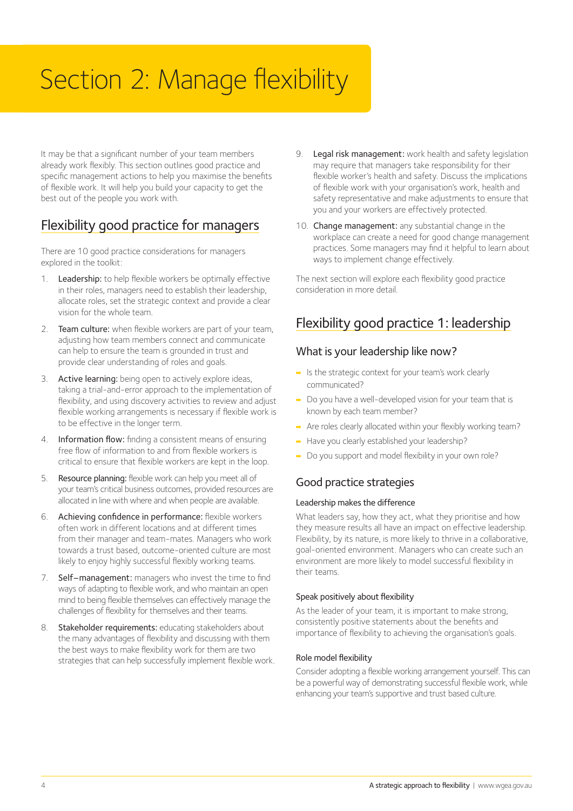# Section 2: Manage flexibility

It may be that a significant number of your team members already work flexibly. This section outlines good practice and specific management actions to help you maximise the benefits of flexible work. It will help you build your capacity to get the best out of the people you work with.

# Flexibility good practice for managers

There are 10 good practice considerations for managers explored in the toolkit:

- 1. Leadership: to help flexible workers be optimally effective in their roles, managers need to establish their leadership, allocate roles, set the strategic context and provide a clear vision for the whole team.
- 2. Team culture: when flexible workers are part of your team, adjusting how team members connect and communicate can help to ensure the team is grounded in trust and provide clear understanding of roles and goals.
- 3. Active learning: being open to actively explore ideas, taking a trial-and-error approach to the implementation of flexibility, and using discovery activities to review and adjust flexible working arrangements is necessary if flexible work is to be effective in the longer term.
- 4. Information flow: finding a consistent means of ensuring free flow of information to and from flexible workers is critical to ensure that flexible workers are kept in the loop.
- 5. Resource planning: flexible work can help you meet all of your team's critical business outcomes, provided resources are allocated in line with where and when people are available.
- 6. Achieving confidence in performance: flexible workers often work in different locations and at different times from their manager and team-mates. Managers who work towards a trust based, outcome-oriented culture are most likely to enjoy highly successful flexibly working teams.
- 7. Self–management: managers who invest the time to find ways of adapting to flexible work, and who maintain an open mind to being flexible themselves can effectively manage the challenges of flexibility for themselves and their teams.
- 8. Stakeholder requirements: educating stakeholders about the many advantages of flexibility and discussing with them the best ways to make flexibility work for them are two strategies that can help successfully implement flexible work.
- 9. Legal risk management: work health and safety legislation may require that managers take responsibility for their flexible worker's health and safety. Discuss the implications of flexible work with your organisation's work, health and safety representative and make adjustments to ensure that you and your workers are effectively protected.
- 10. Change management: any substantial change in the workplace can create a need for good change management practices. Some managers may find it helpful to learn about ways to implement change effectively.

The next section will explore each flexibility good practice consideration in more detail.

# Flexibility good practice 1: leadership

#### What is your leadership like now?

- ➡ Is the strategic context for your team's work clearly communicated?
- ➡ Do you have a well-developed vision for your team that is known by each team member?
- → Are roles clearly allocated within your flexibly working team?
- ➡ Have you clearly established your leadership?
- ➡ Do you support and model flexibility in your own role?

#### Good practice strategies

#### Leadership makes the difference

What leaders say, how they act, what they prioritise and how they measure results all have an impact on effective leadership. Flexibility, by its nature, is more likely to thrive in a collaborative, goal-oriented environment. Managers who can create such an environment are more likely to model successful flexibility in their teams.

#### Speak positively about flexibility

As the leader of your team, it is important to make strong, consistently positive statements about the benefits and importance of flexibility to achieving the organisation's goals.

#### Role model flexibility

Consider adopting a flexible working arrangement yourself. This can be a powerful way of demonstrating successful flexible work, while enhancing your team's supportive and trust based culture.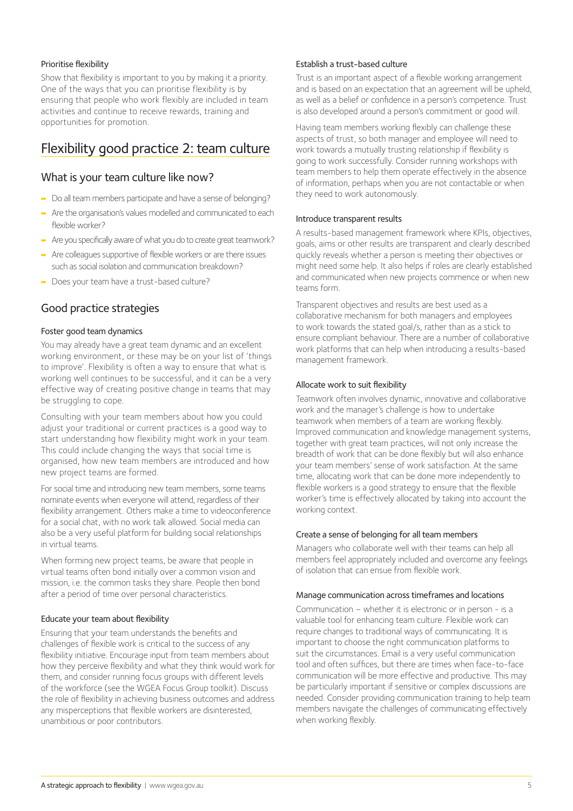#### Prioritise flexibility

Show that flexibility is important to you by making it a priority. One of the ways that you can prioritise flexibility is by ensuring that people who work flexibly are included in team activities and continue to receive rewards, training and opportunities for promotion.

## Flexibility good practice 2: team culture

#### What is your team culture like now?

- ➡ Do all team members participate and have a sense of belonging?
- ➡ Are the organisation's values modelled and communicated to each flexible worker?
- ➡ Are you specifically aware of what you do to create great teamwork?
- $\rightarrow$  Are colleagues supportive of flexible workers or are there issues such as social isolation and communication breakdown?
- ➡ Does your team have a trust-based culture?

#### Good practice strategies

#### Foster good team dynamics

You may already have a great team dynamic and an excellent working environment, or these may be on your list of 'things to improve'. Flexibility is often a way to ensure that what is working well continues to be successful, and it can be a very effective way of creating positive change in teams that may be struggling to cope.

Consulting with your team members about how you could adjust your traditional or current practices is a good way to start understanding how flexibility might work in your team. This could include changing the ways that social time is organised, how new team members are introduced and how new project teams are formed.

For social time and introducing new team members, some teams nominate events when everyone will attend, regardless of their flexibility arrangement. Others make a time to videoconference for a social chat, with no work talk allowed. Social media can also be a very useful platform for building social relationships in virtual teams.

When forming new project teams, be aware that people in virtual teams often bond initially over a common vision and mission, i.e. the common tasks they share. People then bond after a period of time over personal characteristics.

#### Educate your team about flexibility

Ensuring that your team understands the benefits and challenges of flexible work is critical to the success of any flexibility initiative. Encourage input from team members about how they perceive flexibility and what they think would work for them, and consider running focus groups with different levels of the workforce (see the WGEA Focus Group toolkit). Discuss the role of flexibility in achieving business outcomes and address any misperceptions that flexible workers are disinterested, unambitious or poor contributors.

#### Establish a trust-based culture

Trust is an important aspect of a flexible working arrangement and is based on an expectation that an agreement will be upheld, as well as a belief or confidence in a person's competence. Trust is also developed around a person's commitment or good will.

Having team members working flexibly can challenge these aspects of trust, so both manager and employee will need to work towards a mutually trusting relationship if flexibility is going to work successfully. Consider running workshops with team members to help them operate effectively in the absence of information, perhaps when you are not contactable or when they need to work autonomously.

#### Introduce transparent results

A results-based management framework where KPIs, objectives, goals, aims or other results are transparent and clearly described quickly reveals whether a person is meeting their objectives or might need some help. It also helps if roles are clearly established and communicated when new projects commence or when new teams form.

Transparent objectives and results are best used as a collaborative mechanism for both managers and employees to work towards the stated goal/s, rather than as a stick to ensure compliant behaviour. There are a number of collaborative work platforms that can help when introducing a results-based management framework.

#### Allocate work to suit flexibility

Teamwork often involves dynamic, innovative and collaborative work and the manager's challenge is how to undertake teamwork when members of a team are working flexibly. Improved communication and knowledge management systems, together with great team practices, will not only increase the breadth of work that can be done flexibly but will also enhance your team members' sense of work satisfaction. At the same time, allocating work that can be done more independently to flexible workers is a good strategy to ensure that the flexible worker's time is effectively allocated by taking into account the working context.

#### Create a sense of belonging for all team members

Managers who collaborate well with their teams can help all members feel appropriately included and overcome any feelings of isolation that can ensue from flexible work.

#### Manage communication across timeframes and locations

Communication – whether it is electronic or in person - is a valuable tool for enhancing team culture. Flexible work can require changes to traditional ways of communicating. It is important to choose the right communication platforms to suit the circumstances. Email is a very useful communication tool and often suffices, but there are times when face-to-face communication will be more effective and productive. This may be particularly important if sensitive or complex discussions are needed. Consider providing communication training to help team members navigate the challenges of communicating effectively when working flexibly.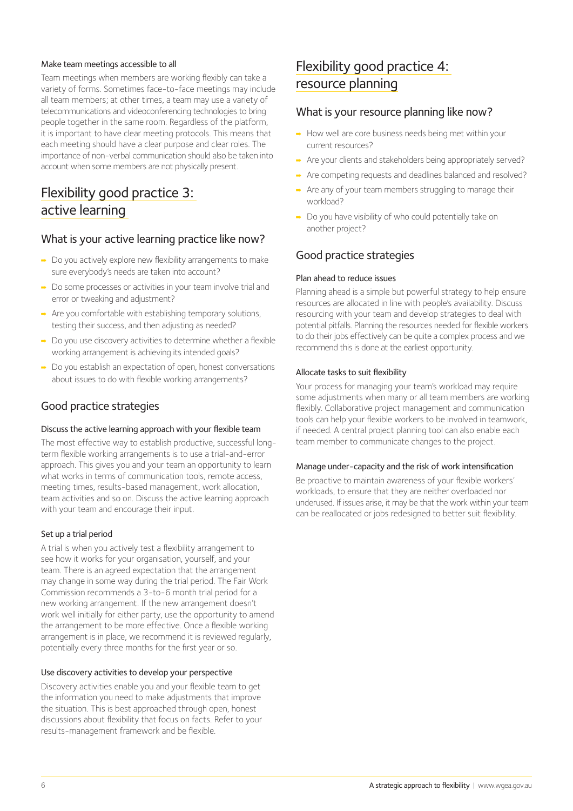#### Make team meetings accessible to all

Team meetings when members are working flexibly can take a variety of forms. Sometimes face-to-face meetings may include all team members; at other times, a team may use a variety of telecommunications and videoconferencing technologies to bring people together in the same room. Regardless of the platform, it is important to have clear meeting protocols. This means that each meeting should have a clear purpose and clear roles. The importance of non-verbal communication should also be taken into account when some members are not physically present.

# Flexibility good practice 3: active learning

#### What is your active learning practice like now?

- ➡ Do you actively explore new flexibility arrangements to make sure everybody's needs are taken into account?
- ➡ Do some processes or activities in your team involve trial and error or tweaking and adjustment?
- $\rightarrow$  Are you comfortable with establishing temporary solutions, testing their success, and then adjusting as needed?
- $\rightarrow$  Do you use discovery activities to determine whether a flexible working arrangement is achieving its intended goals?
- ➡ Do you establish an expectation of open, honest conversations about issues to do with flexible working arrangements?

#### Good practice strategies

#### Discuss the active learning approach with your flexible team

The most effective way to establish productive, successful longterm flexible working arrangements is to use a trial-and-error approach. This gives you and your team an opportunity to learn what works in terms of communication tools, remote access, meeting times, results-based management, work allocation, team activities and so on. Discuss the active learning approach with your team and encourage their input.

#### Set up a trial period

A trial is when you actively test a flexibility arrangement to see how it works for your organisation, yourself, and your team. There is an agreed expectation that the arrangement may change in some way during the trial period. The Fair Work Commission recommends a 3-to-6 month trial period for a new working arrangement. If the new arrangement doesn't work well initially for either party, use the opportunity to amend the arrangement to be more effective. Once a flexible working arrangement is in place, we recommend it is reviewed regularly, potentially every three months for the first year or so.

#### Use discovery activities to develop your perspective

Discovery activities enable you and your flexible team to get the information you need to make adjustments that improve the situation. This is best approached through open, honest discussions about flexibility that focus on facts. Refer to your results-management framework and be flexible.

# Flexibility good practice 4: resource planning

#### What is your resource planning like now?

- ➡ How well are core business needs being met within your current resources?
- → Are your clients and stakeholders being appropriately served?
- ➡ Are competing requests and deadlines balanced and resolved?
- ➡ Are any of your team members struggling to manage their workload?
- ➡ Do you have visibility of who could potentially take on another project?

#### Good practice strategies

#### Plan ahead to reduce issues

Planning ahead is a simple but powerful strategy to help ensure resources are allocated in line with people's availability. Discuss resourcing with your team and develop strategies to deal with potential pitfalls. Planning the resources needed for flexible workers to do their jobs effectively can be quite a complex process and we recommend this is done at the earliest opportunity.

#### Allocate tasks to suit flexibility

Your process for managing your team's workload may require some adjustments when many or all team members are working flexibly. Collaborative project management and communication tools can help your flexible workers to be involved in teamwork, if needed. A central project planning tool can also enable each team member to communicate changes to the project.

#### Manage under-capacity and the risk of work intensification

Be proactive to maintain awareness of your flexible workers' workloads, to ensure that they are neither overloaded nor underused. If issues arise, it may be that the work within your team can be reallocated or jobs redesigned to better suit flexibility.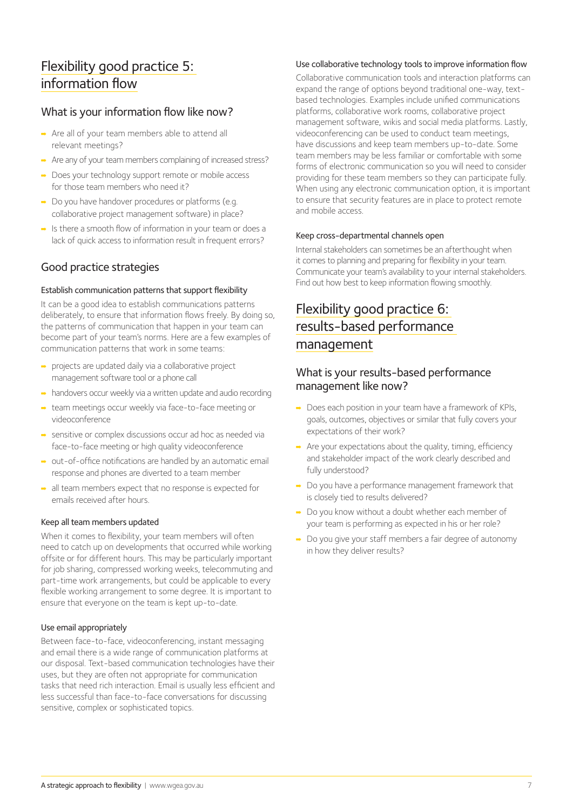# Flexibility good practice 5: information flow

#### What is your information flow like now?

- ➡ Are all of your team members able to attend all relevant meetings?
- ➡ Are any of your team members complaining of increased stress?
- ➡ Does your technology support remote or mobile access for those team members who need it?
- ➡ Do you have handover procedures or platforms (e.g. collaborative project management software) in place?
- $\rightarrow$  Is there a smooth flow of information in your team or does a lack of quick access to information result in frequent errors?

#### Good practice strategies

#### Establish communication patterns that support flexibility

It can be a good idea to establish communications patterns deliberately, to ensure that information flows freely. By doing so, the patterns of communication that happen in your team can become part of your team's norms. Here are a few examples of communication patterns that work in some teams:

- ➡ projects are updated daily via a collaborative project management software tool or a phone call
- ➡ handovers occur weekly via a written update and audio recording
- ➡ team meetings occur weekly via face-to-face meeting or videoconference
- ➡ sensitive or complex discussions occur ad hoc as needed via face-to-face meeting or high quality videoconference
- ➡ out-of-office notifications are handled by an automatic email response and phones are diverted to a team member
- ➡ all team members expect that no response is expected for emails received after hours.

#### Keep all team members updated

When it comes to flexibility, your team members will often need to catch up on developments that occurred while working offsite or for different hours. This may be particularly important for job sharing, compressed working weeks, telecommuting and part-time work arrangements, but could be applicable to every flexible working arrangement to some degree. It is important to ensure that everyone on the team is kept up-to-date.

#### Use email appropriately

Between face-to-face, videoconferencing, instant messaging and email there is a wide range of communication platforms at our disposal. Text-based communication technologies have their uses, but they are often not appropriate for communication tasks that need rich interaction. Email is usually less efficient and less successful than face-to-face conversations for discussing sensitive, complex or sophisticated topics.

#### Use collaborative technology tools to improve information flow

Collaborative communication tools and interaction platforms can expand the range of options beyond traditional one-way, textbased technologies. Examples include unified communications platforms, collaborative work rooms, collaborative project management software, wikis and social media platforms. Lastly, videoconferencing can be used to conduct team meetings, have discussions and keep team members up-to-date. Some team members may be less familiar or comfortable with some forms of electronic communication so you will need to consider providing for these team members so they can participate fully. When using any electronic communication option, it is important to ensure that security features are in place to protect remote and mobile access.

#### Keep cross-departmental channels open

Internal stakeholders can sometimes be an afterthought when it comes to planning and preparing for flexibility in your team. Communicate your team's availability to your internal stakeholders. Find out how best to keep information flowing smoothly.

# Flexibility good practice 6: results-based performance management

#### What is your results-based performance management like now?

- ➡ Does each position in your team have a framework of KPIs, goals, outcomes, objectives or similar that fully covers your expectations of their work?
- ➡ Are your expectations about the quality, timing, efficiency and stakeholder impact of the work clearly described and fully understood?
- ➡ Do you have a performance management framework that is closely tied to results delivered?
- ➡ Do you know without a doubt whether each member of your team is performing as expected in his or her role?
- ➡ Do you give your staff members a fair degree of autonomy in how they deliver results?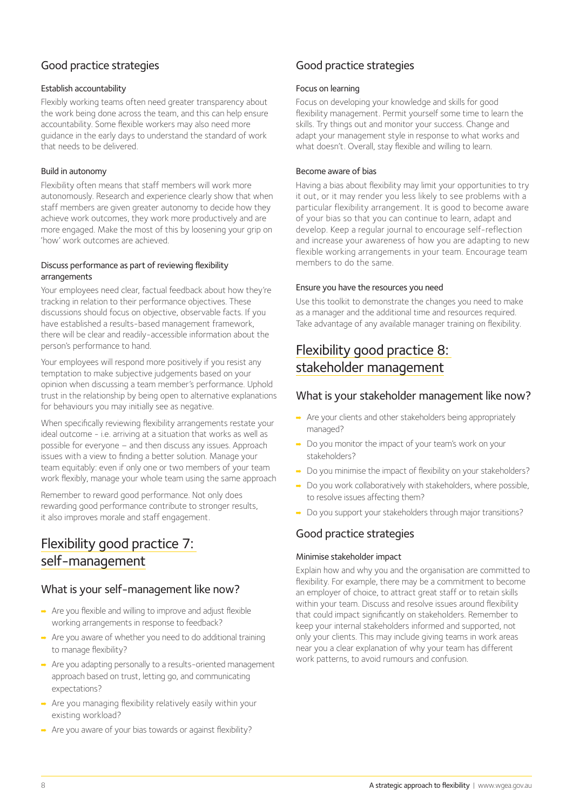### Good practice strategies

#### Establish accountability

Flexibly working teams often need greater transparency about the work being done across the team, and this can help ensure accountability. Some flexible workers may also need more guidance in the early days to understand the standard of work that needs to be delivered.

#### Build in autonomy

Flexibility often means that staff members will work more autonomously. Research and experience clearly show that when staff members are given greater autonomy to decide how they achieve work outcomes, they work more productively and are more engaged. Make the most of this by loosening your grip on 'how' work outcomes are achieved.

#### Discuss performance as part of reviewing flexibility arrangements

Your employees need clear, factual feedback about how they're tracking in relation to their performance objectives. These discussions should focus on objective, observable facts. If you have established a results-based management framework, there will be clear and readily-accessible information about the person's performance to hand.

Your employees will respond more positively if you resist any temptation to make subjective judgements based on your opinion when discussing a team member's performance. Uphold trust in the relationship by being open to alternative explanations for behaviours you may initially see as negative.

When specifically reviewing flexibility arrangements restate your ideal outcome - i.e. arriving at a situation that works as well as possible for everyone – and then discuss any issues. Approach issues with a view to finding a better solution. Manage your team equitably: even if only one or two members of your team work flexibly, manage your whole team using the same approach

Remember to reward good performance. Not only does rewarding good performance contribute to stronger results, it also improves morale and staff engagement.

# Flexibility good practice 7: self-management

#### What is your self-management like now?

- $\rightarrow$  Are you flexible and willing to improve and adjust flexible working arrangements in response to feedback?
- ➡ Are you aware of whether you need to do additional training to manage flexibility?
- ➡ Are you adapting personally to a results-oriented management approach based on trust, letting go, and communicating expectations?
- ➡ Are you managing flexibility relatively easily within your existing workload?
- ➡ Are you aware of your bias towards or against flexibility?

# Good practice strategies

#### Focus on learning

Focus on developing your knowledge and skills for good flexibility management. Permit yourself some time to learn the skills. Try things out and monitor your success. Change and adapt your management style in response to what works and what doesn't. Overall, stay flexible and willing to learn.

#### Become aware of bias

Having a bias about flexibility may limit your opportunities to try it out, or it may render you less likely to see problems with a particular flexibility arrangement. It is good to become aware of your bias so that you can continue to learn, adapt and develop. Keep a regular journal to encourage self-reflection and increase your awareness of how you are adapting to new flexible working arrangements in your team. Encourage team members to do the same.

#### Ensure you have the resources you need

Use this toolkit to demonstrate the changes you need to make as a manager and the additional time and resources required. Take advantage of any available manager training on flexibility.

# Flexibility good practice 8: stakeholder management

#### What is your stakeholder management like now?

- ➡ Are your clients and other stakeholders being appropriately managed?
- ➡ Do you monitor the impact of your team's work on your stakeholders?
- ➡ Do you minimise the impact of flexibility on your stakeholders?
- ➡ Do you work collaboratively with stakeholders, where possible, to resolve issues affecting them?
- ➡ Do you support your stakeholders through major transitions?

#### Good practice strategies

#### Minimise stakeholder impact

Explain how and why you and the organisation are committed to flexibility. For example, there may be a commitment to become an employer of choice, to attract great staff or to retain skills within your team. Discuss and resolve issues around flexibility that could impact significantly on stakeholders. Remember to keep your internal stakeholders informed and supported, not only your clients. This may include giving teams in work areas near you a clear explanation of why your team has different work patterns, to avoid rumours and confusion.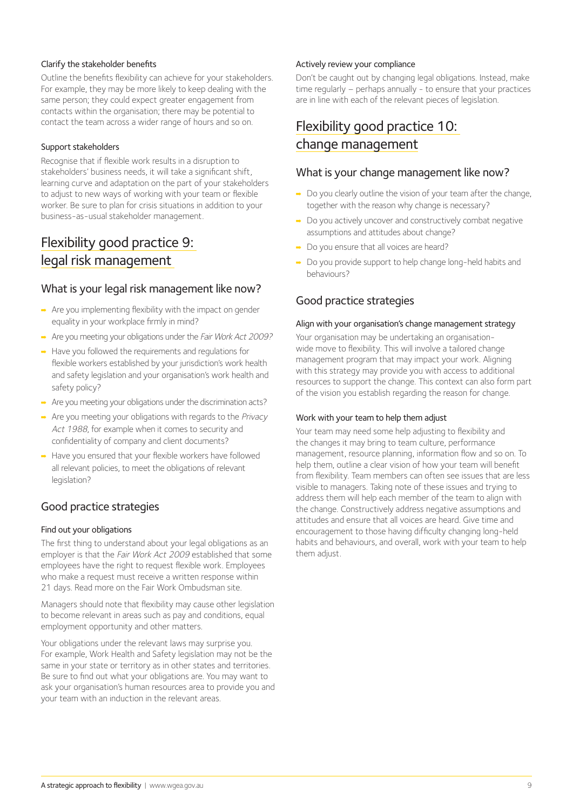#### Clarify the stakeholder benefits

Outline the benefits flexibility can achieve for your stakeholders. For example, they may be more likely to keep dealing with the same person; they could expect greater engagement from contacts within the organisation; there may be potential to contact the team across a wider range of hours and so on.

#### Support stakeholders

Recognise that if flexible work results in a disruption to stakeholders' business needs, it will take a significant shift, learning curve and adaptation on the part of your stakeholders to adjust to new ways of working with your team or flexible worker. Be sure to plan for crisis situations in addition to your business-as-usual stakeholder management.

# Flexibility good practice 9: legal risk management

#### What is your legal risk management like now?

- $\rightarrow$  Are you implementing flexibility with the impact on gender equality in your workplace firmly in mind?
- ➡ Are you meeting your obligations under the Fair Work Act 2009?
- ➡ Have you followed the requirements and regulations for flexible workers established by your jurisdiction's work health and safety legislation and your organisation's work health and safety policy?
- ➡ Are you meeting your obligations under the discrimination acts?
- ➡ Are you meeting your obligations with regards to the Privacy Act 1988, for example when it comes to security and confidentiality of company and client documents?
- ➡ Have you ensured that your flexible workers have followed all relevant policies, to meet the obligations of relevant legislation?

#### Good practice strategies

#### Find out your obligations

The first thing to understand about your legal obligations as an employer is that the Fair Work Act 2009 established that some employees have the right to request flexible work. Employees who make a request must receive a written response within 21 days. Read more on the Fair Work Ombudsman site.

Managers should note that flexibility may cause other legislation to become relevant in areas such as pay and conditions, equal employment opportunity and other matters.

Your obligations under the relevant laws may surprise you. For example, Work Health and Safety legislation may not be the same in your state or territory as in other states and territories. Be sure to find out what your obligations are. You may want to ask your organisation's human resources area to provide you and your team with an induction in the relevant areas.

#### Actively review your compliance

Don't be caught out by changing legal obligations. Instead, make time regularly – perhaps annually - to ensure that your practices are in line with each of the relevant pieces of legislation.

# Flexibility good practice 10: change management

#### What is your change management like now?

- → Do you clearly outline the vision of your team after the change, together with the reason why change is necessary?
- ➡ Do you actively uncover and constructively combat negative assumptions and attitudes about change?
- ➡ Do you ensure that all voices are heard?
- ➡ Do you provide support to help change long-held habits and behaviours?

#### Good practice strategies

#### Align with your organisation's change management strategy

Your organisation may be undertaking an organisationwide move to flexibility. This will involve a tailored change management program that may impact your work. Aligning with this strategy may provide you with access to additional resources to support the change. This context can also form part of the vision you establish regarding the reason for change.

#### Work with your team to help them adjust

Your team may need some help adjusting to flexibility and the changes it may bring to team culture, performance management, resource planning, information flow and so on. To help them, outline a clear vision of how your team will benefit from flexibility. Team members can often see issues that are less visible to managers. Taking note of these issues and trying to address them will help each member of the team to align with the change. Constructively address negative assumptions and attitudes and ensure that all voices are heard. Give time and encouragement to those having difficulty changing long-held habits and behaviours, and overall, work with your team to help them adjust.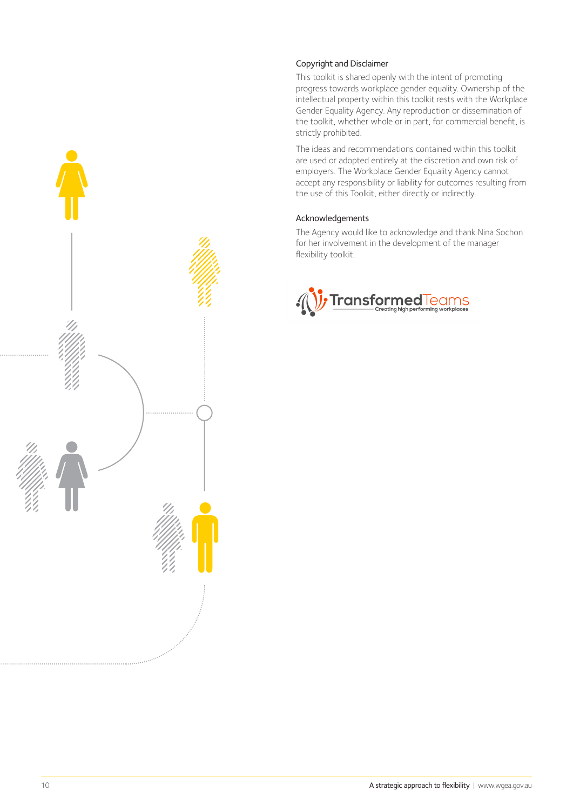

This toolkit is shared openly with the intent of promoting progress towards workplace gender equality. Ownership of the intellectual property within this toolkit rests with the Workplace Gender Equality Agency. Any reproduction or dissemination of the toolkit, whether whole or in part, for commercial benefit, is strictly prohibited.

The ideas and recommendations contained within this toolkit are used or adopted entirely at the discretion and own risk of employers. The Workplace Gender Equality Agency cannot accept any responsibility or liability for outcomes resulting from the use of this Toolkit, either directly or indirectly.

#### Acknowledgements

The Agency would like to acknowledge and thank Nina Sochon for her involvement in the development of the manager flexibility toolkit.